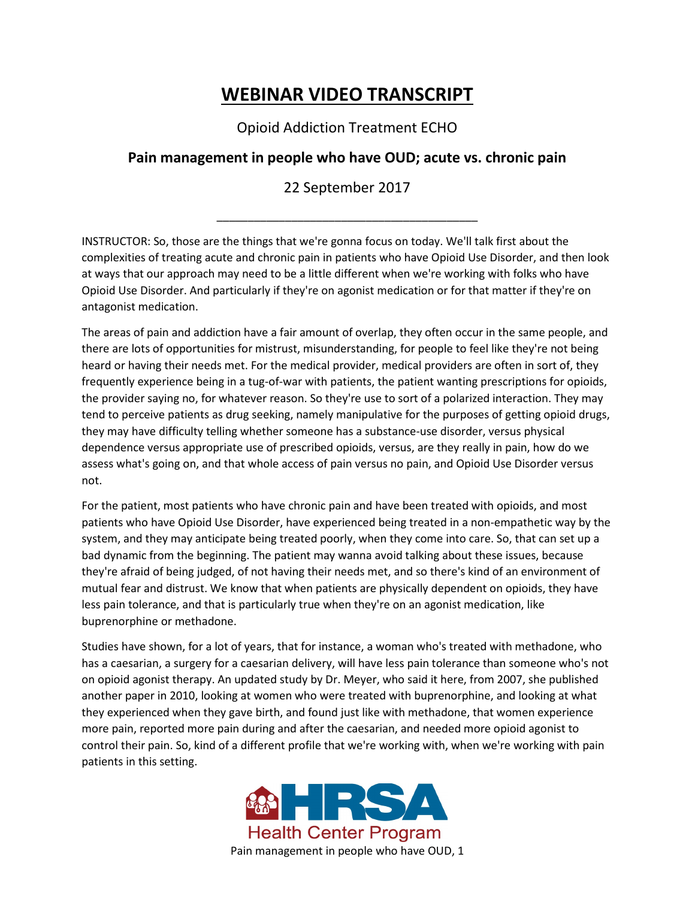## **WEBINAR VIDEO TRANSCRIPT**

Opioid Addiction Treatment ECHO

## **Pain management in people who have OUD; acute vs. chronic pain**

## 22 September 2017

\_\_\_\_\_\_\_\_\_\_\_\_\_\_\_\_\_\_\_\_\_\_\_\_\_\_\_\_\_\_\_\_\_\_\_\_\_\_\_\_\_\_

INSTRUCTOR: So, those are the things that we're gonna focus on today. We'll talk first about the complexities of treating acute and chronic pain in patients who have Opioid Use Disorder, and then look at ways that our approach may need to be a little different when we're working with folks who have Opioid Use Disorder. And particularly if they're on agonist medication or for that matter if they're on antagonist medication.

The areas of pain and addiction have a fair amount of overlap, they often occur in the same people, and there are lots of opportunities for mistrust, misunderstanding, for people to feel like they're not being heard or having their needs met. For the medical provider, medical providers are often in sort of, they frequently experience being in a tug-of-war with patients, the patient wanting prescriptions for opioids, the provider saying no, for whatever reason. So they're use to sort of a polarized interaction. They may tend to perceive patients as drug seeking, namely manipulative for the purposes of getting opioid drugs, they may have difficulty telling whether someone has a substance-use disorder, versus physical dependence versus appropriate use of prescribed opioids, versus, are they really in pain, how do we assess what's going on, and that whole access of pain versus no pain, and Opioid Use Disorder versus not.

For the patient, most patients who have chronic pain and have been treated with opioids, and most patients who have Opioid Use Disorder, have experienced being treated in a non-empathetic way by the system, and they may anticipate being treated poorly, when they come into care. So, that can set up a bad dynamic from the beginning. The patient may wanna avoid talking about these issues, because they're afraid of being judged, of not having their needs met, and so there's kind of an environment of mutual fear and distrust. We know that when patients are physically dependent on opioids, they have less pain tolerance, and that is particularly true when they're on an agonist medication, like buprenorphine or methadone.

Studies have shown, for a lot of years, that for instance, a woman who's treated with methadone, who has a caesarian, a surgery for a caesarian delivery, will have less pain tolerance than someone who's not on opioid agonist therapy. An updated study by Dr. Meyer, who said it here, from 2007, she published another paper in 2010, looking at women who were treated with buprenorphine, and looking at what they experienced when they gave birth, and found just like with methadone, that women experience more pain, reported more pain during and after the caesarian, and needed more opioid agonist to control their pain. So, kind of a different profile that we're working with, when we're working with pain patients in this setting.

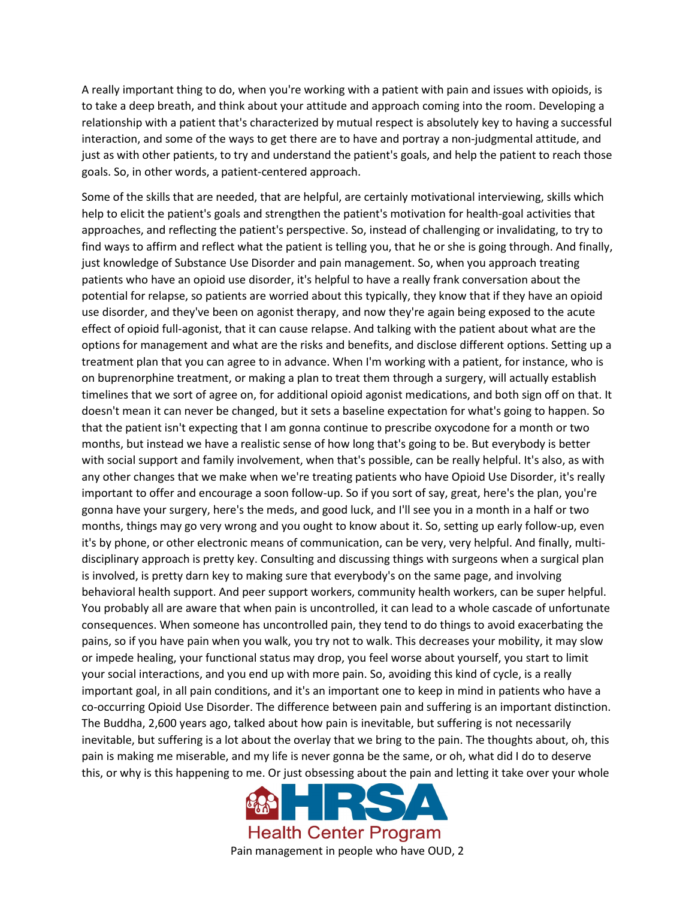A really important thing to do, when you're working with a patient with pain and issues with opioids, is to take a deep breath, and think about your attitude and approach coming into the room. Developing a relationship with a patient that's characterized by mutual respect is absolutely key to having a successful interaction, and some of the ways to get there are to have and portray a non-judgmental attitude, and just as with other patients, to try and understand the patient's goals, and help the patient to reach those goals. So, in other words, a patient-centered approach.

Some of the skills that are needed, that are helpful, are certainly motivational interviewing, skills which help to elicit the patient's goals and strengthen the patient's motivation for health-goal activities that approaches, and reflecting the patient's perspective. So, instead of challenging or invalidating, to try to find ways to affirm and reflect what the patient is telling you, that he or she is going through. And finally, just knowledge of Substance Use Disorder and pain management. So, when you approach treating patients who have an opioid use disorder, it's helpful to have a really frank conversation about the potential for relapse, so patients are worried about this typically, they know that if they have an opioid use disorder, and they've been on agonist therapy, and now they're again being exposed to the acute effect of opioid full-agonist, that it can cause relapse. And talking with the patient about what are the options for management and what are the risks and benefits, and disclose different options. Setting up a treatment plan that you can agree to in advance. When I'm working with a patient, for instance, who is on buprenorphine treatment, or making a plan to treat them through a surgery, will actually establish timelines that we sort of agree on, for additional opioid agonist medications, and both sign off on that. It doesn't mean it can never be changed, but it sets a baseline expectation for what's going to happen. So that the patient isn't expecting that I am gonna continue to prescribe oxycodone for a month or two months, but instead we have a realistic sense of how long that's going to be. But everybody is better with social support and family involvement, when that's possible, can be really helpful. It's also, as with any other changes that we make when we're treating patients who have Opioid Use Disorder, it's really important to offer and encourage a soon follow-up. So if you sort of say, great, here's the plan, you're gonna have your surgery, here's the meds, and good luck, and I'll see you in a month in a half or two months, things may go very wrong and you ought to know about it. So, setting up early follow-up, even it's by phone, or other electronic means of communication, can be very, very helpful. And finally, multidisciplinary approach is pretty key. Consulting and discussing things with surgeons when a surgical plan is involved, is pretty darn key to making sure that everybody's on the same page, and involving behavioral health support. And peer support workers, community health workers, can be super helpful. You probably all are aware that when pain is uncontrolled, it can lead to a whole cascade of unfortunate consequences. When someone has uncontrolled pain, they tend to do things to avoid exacerbating the pains, so if you have pain when you walk, you try not to walk. This decreases your mobility, it may slow or impede healing, your functional status may drop, you feel worse about yourself, you start to limit your social interactions, and you end up with more pain. So, avoiding this kind of cycle, is a really important goal, in all pain conditions, and it's an important one to keep in mind in patients who have a co-occurring Opioid Use Disorder. The difference between pain and suffering is an important distinction. The Buddha, 2,600 years ago, talked about how pain is inevitable, but suffering is not necessarily inevitable, but suffering is a lot about the overlay that we bring to the pain. The thoughts about, oh, this pain is making me miserable, and my life is never gonna be the same, or oh, what did I do to deserve this, or why is this happening to me. Or just obsessing about the pain and letting it take over your whole

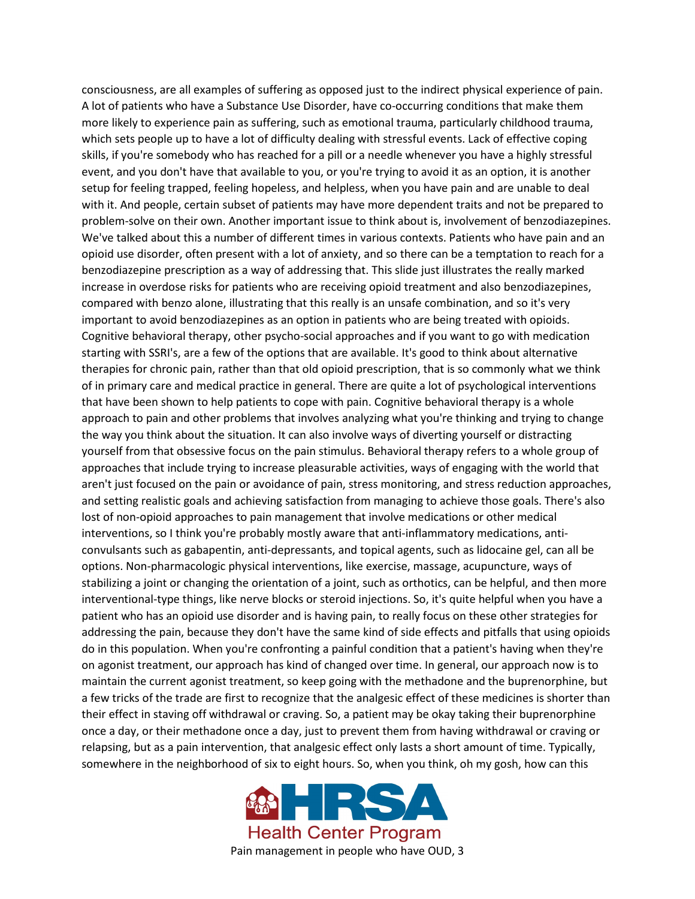consciousness, are all examples of suffering as opposed just to the indirect physical experience of pain. A lot of patients who have a Substance Use Disorder, have co-occurring conditions that make them more likely to experience pain as suffering, such as emotional trauma, particularly childhood trauma, which sets people up to have a lot of difficulty dealing with stressful events. Lack of effective coping skills, if you're somebody who has reached for a pill or a needle whenever you have a highly stressful event, and you don't have that available to you, or you're trying to avoid it as an option, it is another setup for feeling trapped, feeling hopeless, and helpless, when you have pain and are unable to deal with it. And people, certain subset of patients may have more dependent traits and not be prepared to problem-solve on their own. Another important issue to think about is, involvement of benzodiazepines. We've talked about this a number of different times in various contexts. Patients who have pain and an opioid use disorder, often present with a lot of anxiety, and so there can be a temptation to reach for a benzodiazepine prescription as a way of addressing that. This slide just illustrates the really marked increase in overdose risks for patients who are receiving opioid treatment and also benzodiazepines, compared with benzo alone, illustrating that this really is an unsafe combination, and so it's very important to avoid benzodiazepines as an option in patients who are being treated with opioids. Cognitive behavioral therapy, other psycho-social approaches and if you want to go with medication starting with SSRI's, are a few of the options that are available. It's good to think about alternative therapies for chronic pain, rather than that old opioid prescription, that is so commonly what we think of in primary care and medical practice in general. There are quite a lot of psychological interventions that have been shown to help patients to cope with pain. Cognitive behavioral therapy is a whole approach to pain and other problems that involves analyzing what you're thinking and trying to change the way you think about the situation. It can also involve ways of diverting yourself or distracting yourself from that obsessive focus on the pain stimulus. Behavioral therapy refers to a whole group of approaches that include trying to increase pleasurable activities, ways of engaging with the world that aren't just focused on the pain or avoidance of pain, stress monitoring, and stress reduction approaches, and setting realistic goals and achieving satisfaction from managing to achieve those goals. There's also lost of non-opioid approaches to pain management that involve medications or other medical interventions, so I think you're probably mostly aware that anti-inflammatory medications, anticonvulsants such as gabapentin, anti-depressants, and topical agents, such as lidocaine gel, can all be options. Non-pharmacologic physical interventions, like exercise, massage, acupuncture, ways of stabilizing a joint or changing the orientation of a joint, such as orthotics, can be helpful, and then more interventional-type things, like nerve blocks or steroid injections. So, it's quite helpful when you have a patient who has an opioid use disorder and is having pain, to really focus on these other strategies for addressing the pain, because they don't have the same kind of side effects and pitfalls that using opioids do in this population. When you're confronting a painful condition that a patient's having when they're on agonist treatment, our approach has kind of changed over time. In general, our approach now is to maintain the current agonist treatment, so keep going with the methadone and the buprenorphine, but a few tricks of the trade are first to recognize that the analgesic effect of these medicines is shorter than their effect in staving off withdrawal or craving. So, a patient may be okay taking their buprenorphine once a day, or their methadone once a day, just to prevent them from having withdrawal or craving or relapsing, but as a pain intervention, that analgesic effect only lasts a short amount of time. Typically, somewhere in the neighborhood of six to eight hours. So, when you think, oh my gosh, how can this

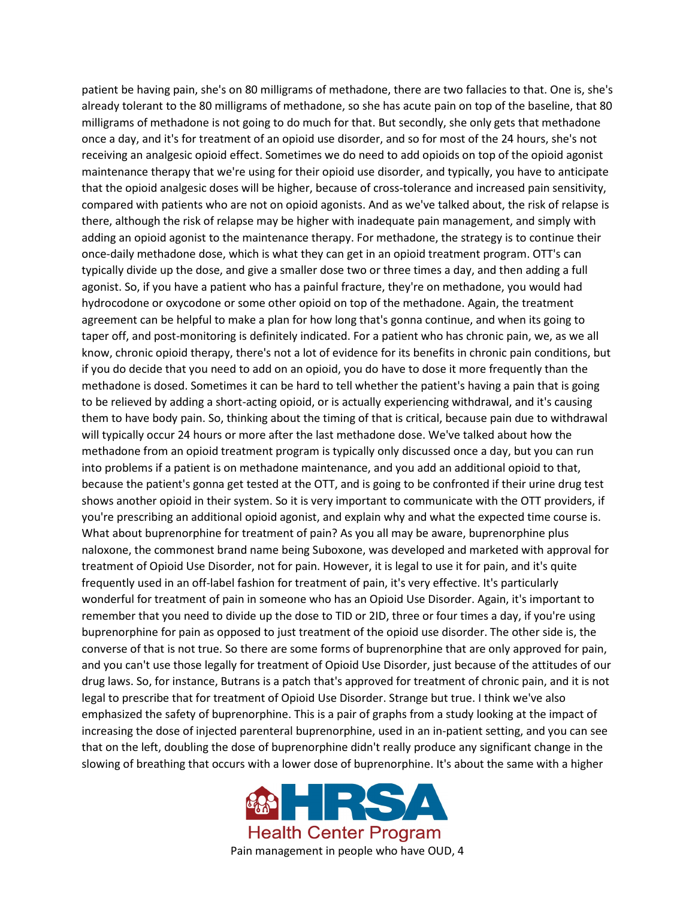patient be having pain, she's on 80 milligrams of methadone, there are two fallacies to that. One is, she's already tolerant to the 80 milligrams of methadone, so she has acute pain on top of the baseline, that 80 milligrams of methadone is not going to do much for that. But secondly, she only gets that methadone once a day, and it's for treatment of an opioid use disorder, and so for most of the 24 hours, she's not receiving an analgesic opioid effect. Sometimes we do need to add opioids on top of the opioid agonist maintenance therapy that we're using for their opioid use disorder, and typically, you have to anticipate that the opioid analgesic doses will be higher, because of cross-tolerance and increased pain sensitivity, compared with patients who are not on opioid agonists. And as we've talked about, the risk of relapse is there, although the risk of relapse may be higher with inadequate pain management, and simply with adding an opioid agonist to the maintenance therapy. For methadone, the strategy is to continue their once-daily methadone dose, which is what they can get in an opioid treatment program. OTT's can typically divide up the dose, and give a smaller dose two or three times a day, and then adding a full agonist. So, if you have a patient who has a painful fracture, they're on methadone, you would had hydrocodone or oxycodone or some other opioid on top of the methadone. Again, the treatment agreement can be helpful to make a plan for how long that's gonna continue, and when its going to taper off, and post-monitoring is definitely indicated. For a patient who has chronic pain, we, as we all know, chronic opioid therapy, there's not a lot of evidence for its benefits in chronic pain conditions, but if you do decide that you need to add on an opioid, you do have to dose it more frequently than the methadone is dosed. Sometimes it can be hard to tell whether the patient's having a pain that is going to be relieved by adding a short-acting opioid, or is actually experiencing withdrawal, and it's causing them to have body pain. So, thinking about the timing of that is critical, because pain due to withdrawal will typically occur 24 hours or more after the last methadone dose. We've talked about how the methadone from an opioid treatment program is typically only discussed once a day, but you can run into problems if a patient is on methadone maintenance, and you add an additional opioid to that, because the patient's gonna get tested at the OTT, and is going to be confronted if their urine drug test shows another opioid in their system. So it is very important to communicate with the OTT providers, if you're prescribing an additional opioid agonist, and explain why and what the expected time course is. What about buprenorphine for treatment of pain? As you all may be aware, buprenorphine plus naloxone, the commonest brand name being Suboxone, was developed and marketed with approval for treatment of Opioid Use Disorder, not for pain. However, it is legal to use it for pain, and it's quite frequently used in an off-label fashion for treatment of pain, it's very effective. It's particularly wonderful for treatment of pain in someone who has an Opioid Use Disorder. Again, it's important to remember that you need to divide up the dose to TID or 2ID, three or four times a day, if you're using buprenorphine for pain as opposed to just treatment of the opioid use disorder. The other side is, the converse of that is not true. So there are some forms of buprenorphine that are only approved for pain, and you can't use those legally for treatment of Opioid Use Disorder, just because of the attitudes of our drug laws. So, for instance, Butrans is a patch that's approved for treatment of chronic pain, and it is not legal to prescribe that for treatment of Opioid Use Disorder. Strange but true. I think we've also emphasized the safety of buprenorphine. This is a pair of graphs from a study looking at the impact of increasing the dose of injected parenteral buprenorphine, used in an in-patient setting, and you can see that on the left, doubling the dose of buprenorphine didn't really produce any significant change in the slowing of breathing that occurs with a lower dose of buprenorphine. It's about the same with a higher

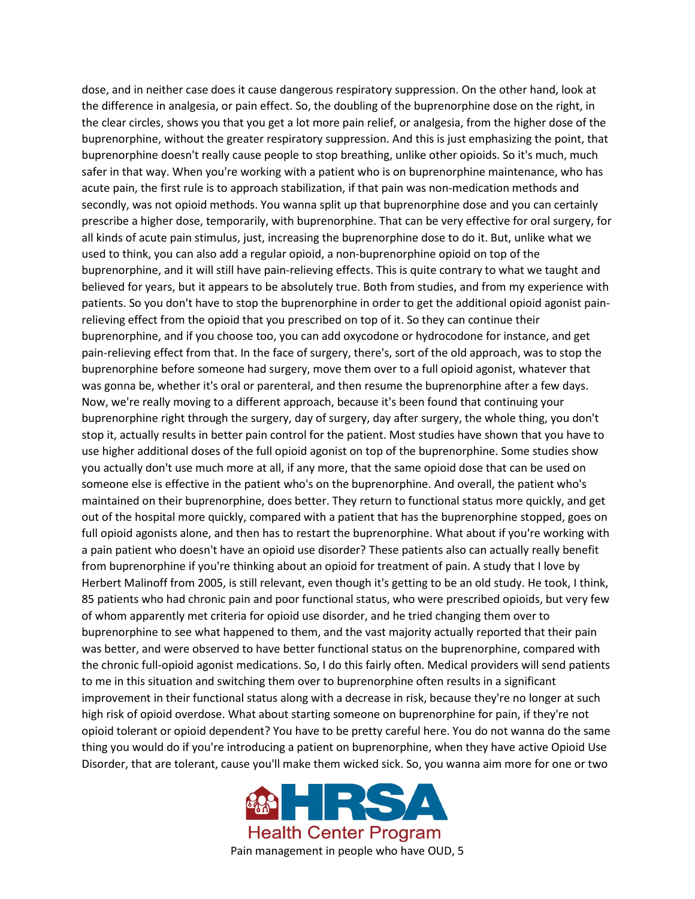dose, and in neither case does it cause dangerous respiratory suppression. On the other hand, look at the difference in analgesia, or pain effect. So, the doubling of the buprenorphine dose on the right, in the clear circles, shows you that you get a lot more pain relief, or analgesia, from the higher dose of the buprenorphine, without the greater respiratory suppression. And this is just emphasizing the point, that buprenorphine doesn't really cause people to stop breathing, unlike other opioids. So it's much, much safer in that way. When you're working with a patient who is on buprenorphine maintenance, who has acute pain, the first rule is to approach stabilization, if that pain was non-medication methods and secondly, was not opioid methods. You wanna split up that buprenorphine dose and you can certainly prescribe a higher dose, temporarily, with buprenorphine. That can be very effective for oral surgery, for all kinds of acute pain stimulus, just, increasing the buprenorphine dose to do it. But, unlike what we used to think, you can also add a regular opioid, a non-buprenorphine opioid on top of the buprenorphine, and it will still have pain-relieving effects. This is quite contrary to what we taught and believed for years, but it appears to be absolutely true. Both from studies, and from my experience with patients. So you don't have to stop the buprenorphine in order to get the additional opioid agonist painrelieving effect from the opioid that you prescribed on top of it. So they can continue their buprenorphine, and if you choose too, you can add oxycodone or hydrocodone for instance, and get pain-relieving effect from that. In the face of surgery, there's, sort of the old approach, was to stop the buprenorphine before someone had surgery, move them over to a full opioid agonist, whatever that was gonna be, whether it's oral or parenteral, and then resume the buprenorphine after a few days. Now, we're really moving to a different approach, because it's been found that continuing your buprenorphine right through the surgery, day of surgery, day after surgery, the whole thing, you don't stop it, actually results in better pain control for the patient. Most studies have shown that you have to use higher additional doses of the full opioid agonist on top of the buprenorphine. Some studies show you actually don't use much more at all, if any more, that the same opioid dose that can be used on someone else is effective in the patient who's on the buprenorphine. And overall, the patient who's maintained on their buprenorphine, does better. They return to functional status more quickly, and get out of the hospital more quickly, compared with a patient that has the buprenorphine stopped, goes on full opioid agonists alone, and then has to restart the buprenorphine. What about if you're working with a pain patient who doesn't have an opioid use disorder? These patients also can actually really benefit from buprenorphine if you're thinking about an opioid for treatment of pain. A study that I love by Herbert Malinoff from 2005, is still relevant, even though it's getting to be an old study. He took, I think, 85 patients who had chronic pain and poor functional status, who were prescribed opioids, but very few of whom apparently met criteria for opioid use disorder, and he tried changing them over to buprenorphine to see what happened to them, and the vast majority actually reported that their pain was better, and were observed to have better functional status on the buprenorphine, compared with the chronic full-opioid agonist medications. So, I do this fairly often. Medical providers will send patients to me in this situation and switching them over to buprenorphine often results in a significant improvement in their functional status along with a decrease in risk, because they're no longer at such high risk of opioid overdose. What about starting someone on buprenorphine for pain, if they're not opioid tolerant or opioid dependent? You have to be pretty careful here. You do not wanna do the same thing you would do if you're introducing a patient on buprenorphine, when they have active Opioid Use Disorder, that are tolerant, cause you'll make them wicked sick. So, you wanna aim more for one or two